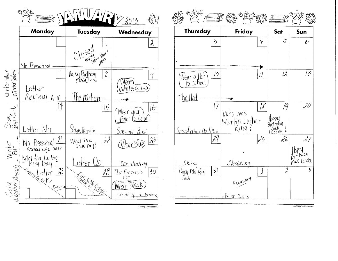





@ 1994 by Troll Associates